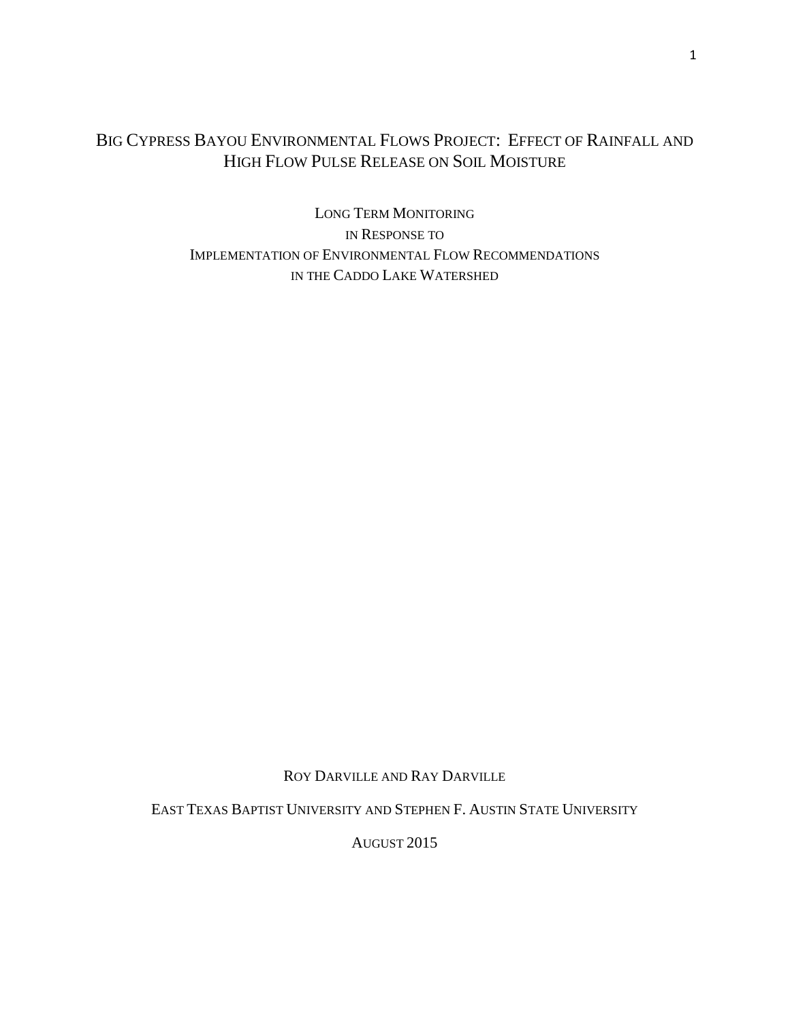# BIG CYPRESS BAYOU ENVIRONMENTAL FLOWS PROJECT: EFFECT OF RAINFALL AND HIGH FLOW PULSE RELEASE ON SOIL MOISTURE

LONG TERM MONITORING IN RESPONSE TO IMPLEMENTATION OF ENVIRONMENTAL FLOW RECOMMENDATIONS IN THE CADDO LAKE WATERSHED

ROY DARVILLE AND RAY DARVILLE

EAST TEXAS BAPTIST UNIVERSITY AND STEPHEN F. AUSTIN STATE UNIVERSITY

AUGUST 2015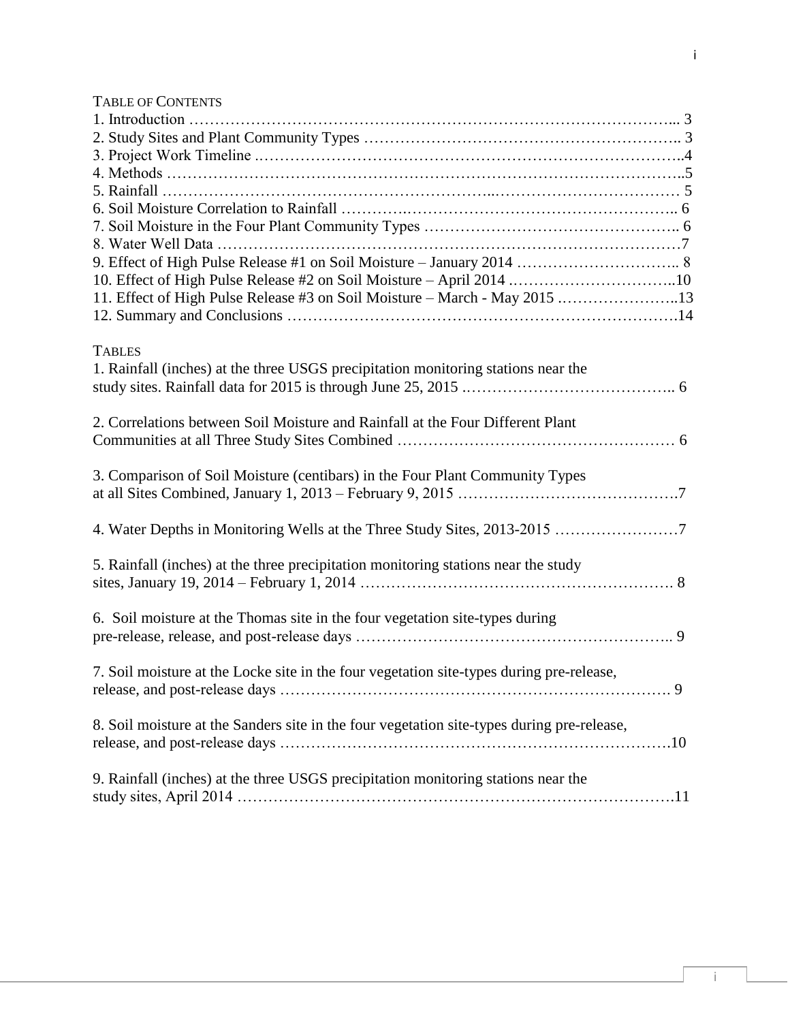# TABLE OF CONTENTS

| 11. Effect of High Pulse Release #3 on Soil Moisture - March - May 2015 13                         |
|----------------------------------------------------------------------------------------------------|
|                                                                                                    |
| <b>TABLES</b><br>1. Rainfall (inches) at the three USGS precipitation monitoring stations near the |
| 2. Correlations between Soil Moisture and Rainfall at the Four Different Plant                     |
| 3. Comparison of Soil Moisture (centibars) in the Four Plant Community Types                       |
| 4. Water Depths in Monitoring Wells at the Three Study Sites, 2013-2015 7                          |
| 5. Rainfall (inches) at the three precipitation monitoring stations near the study                 |
| 6. Soil moisture at the Thomas site in the four vegetation site-types during                       |
| 7. Soil moisture at the Locke site in the four vegetation site-types during pre-release,           |
| 8. Soil moisture at the Sanders site in the four vegetation site-types during pre-release,         |
| 9. Rainfall (inches) at the three USGS precipitation monitoring stations near the                  |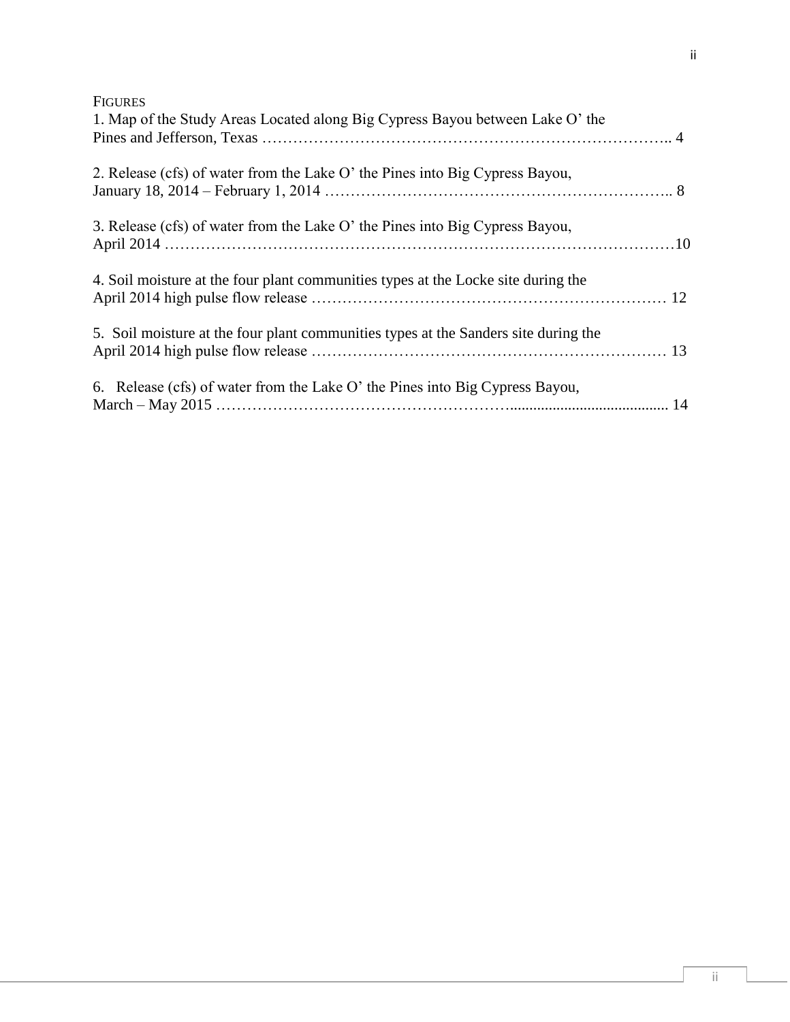ii

| 1. Map of the Study Areas Located along Big Cypress Bayou between Lake O' the       |  |
|-------------------------------------------------------------------------------------|--|
| 2. Release (cfs) of water from the Lake O' the Pines into Big Cypress Bayou,        |  |
| 3. Release (cfs) of water from the Lake O' the Pines into Big Cypress Bayou,        |  |
| 4. Soil moisture at the four plant communities types at the Locke site during the   |  |
| 5. Soil moisture at the four plant communities types at the Sanders site during the |  |
| 6. Release (cfs) of water from the Lake O' the Pines into Big Cypress Bayou,        |  |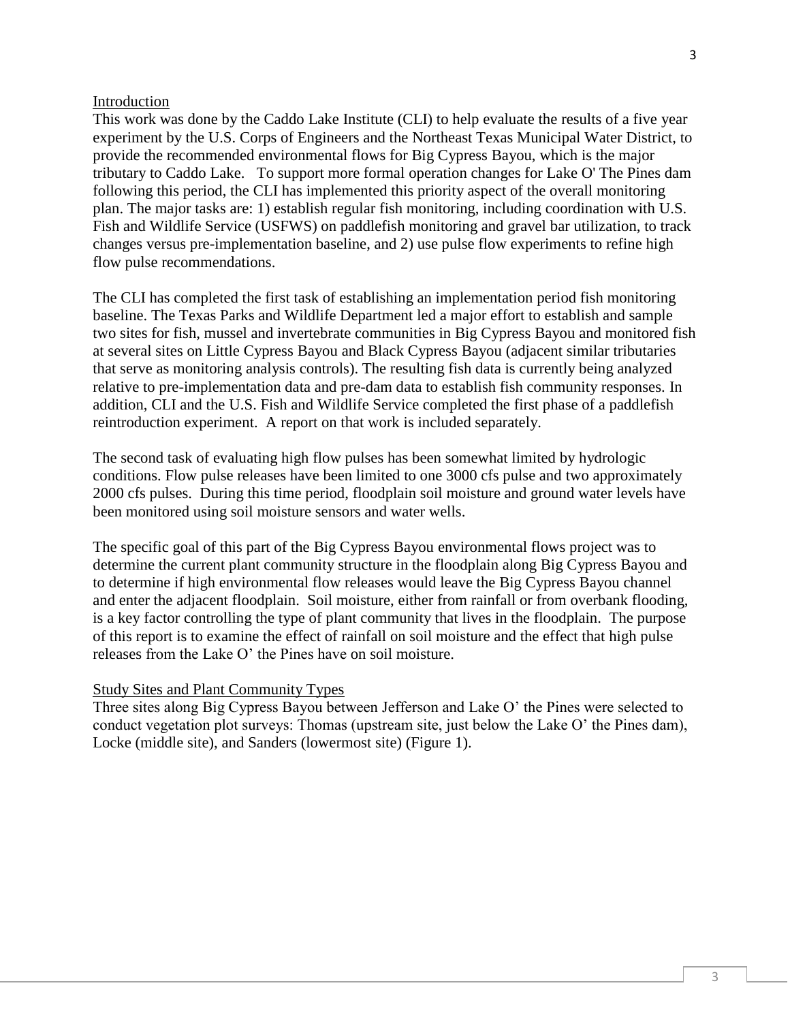#### Introduction

This work was done by the Caddo Lake Institute (CLI) to help evaluate the results of a five year experiment by the U.S. Corps of Engineers and the Northeast Texas Municipal Water District, to provide the recommended environmental flows for Big Cypress Bayou, which is the major tributary to Caddo Lake. To support more formal operation changes for Lake O' The Pines dam following this period, the CLI has implemented this priority aspect of the overall monitoring plan. The major tasks are: 1) establish regular fish monitoring, including coordination with U.S. Fish and Wildlife Service (USFWS) on paddlefish monitoring and gravel bar utilization, to track changes versus pre-implementation baseline, and 2) use pulse flow experiments to refine high flow pulse recommendations.

The CLI has completed the first task of establishing an implementation period fish monitoring baseline. The Texas Parks and Wildlife Department led a major effort to establish and sample two sites for fish, mussel and invertebrate communities in Big Cypress Bayou and monitored fish at several sites on Little Cypress Bayou and Black Cypress Bayou (adjacent similar tributaries that serve as monitoring analysis controls). The resulting fish data is currently being analyzed relative to pre-implementation data and pre-dam data to establish fish community responses. In addition, CLI and the U.S. Fish and Wildlife Service completed the first phase of a paddlefish reintroduction experiment. A report on that work is included separately.

The second task of evaluating high flow pulses has been somewhat limited by hydrologic conditions. Flow pulse releases have been limited to one 3000 cfs pulse and two approximately 2000 cfs pulses. During this time period, floodplain soil moisture and ground water levels have been monitored using soil moisture sensors and water wells.

The specific goal of this part of the Big Cypress Bayou environmental flows project was to determine the current plant community structure in the floodplain along Big Cypress Bayou and to determine if high environmental flow releases would leave the Big Cypress Bayou channel and enter the adjacent floodplain. Soil moisture, either from rainfall or from overbank flooding, is a key factor controlling the type of plant community that lives in the floodplain. The purpose of this report is to examine the effect of rainfall on soil moisture and the effect that high pulse releases from the Lake O' the Pines have on soil moisture.

#### Study Sites and Plant Community Types

Three sites along Big Cypress Bayou between Jefferson and Lake O' the Pines were selected to conduct vegetation plot surveys: Thomas (upstream site, just below the Lake O' the Pines dam), Locke (middle site), and Sanders (lowermost site) (Figure 1).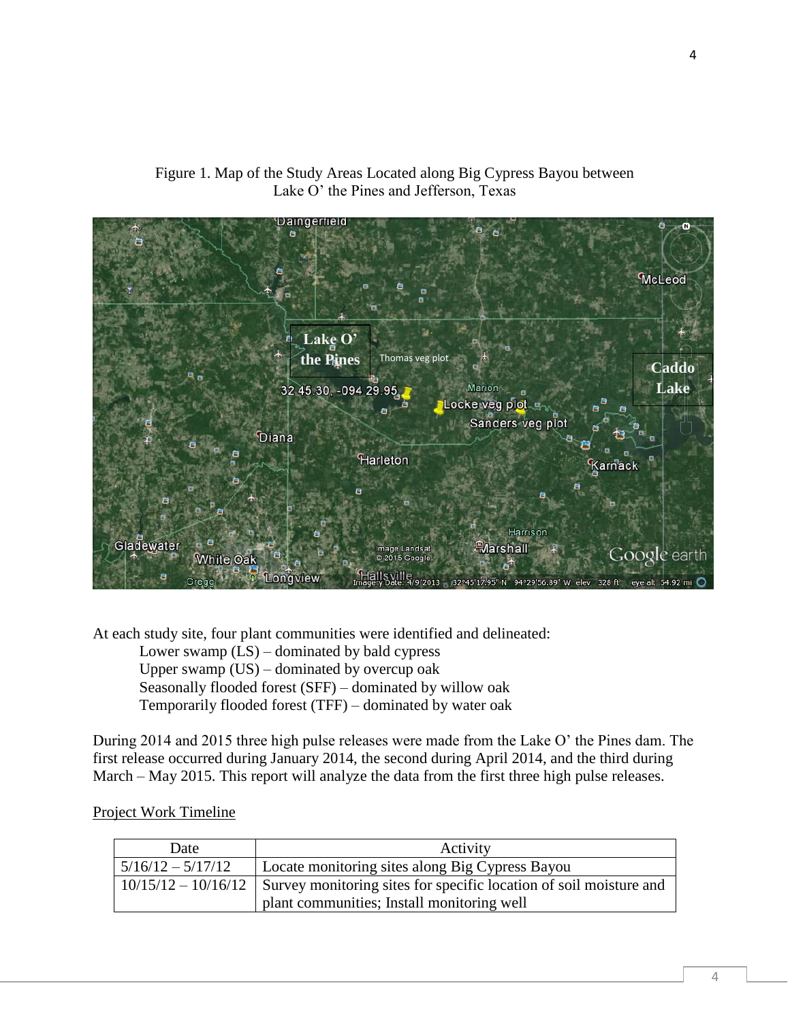

Figure 1. Map of the Study Areas Located along Big Cypress Bayou between Lake O' the Pines and Jefferson, Texas

At each study site, four plant communities were identified and delineated:

Lower swamp (LS) – dominated by bald cypress Upper swamp (US) – dominated by overcup oak Seasonally flooded forest (SFF) – dominated by willow oak Temporarily flooded forest (TFF) – dominated by water oak

During 2014 and 2015 three high pulse releases were made from the Lake O' the Pines dam. The first release occurred during January 2014, the second during April 2014, and the third during March – May 2015. This report will analyze the data from the first three high pulse releases.

# Project Work Timeline

| Date                | Activity                                                                                 |
|---------------------|------------------------------------------------------------------------------------------|
| $5/16/12 - 5/17/12$ | Locate monitoring sites along Big Cypress Bayou                                          |
|                     | $10/15/12 - 10/16/12$ Survey monitoring sites for specific location of soil moisture and |
|                     | plant communities; Install monitoring well                                               |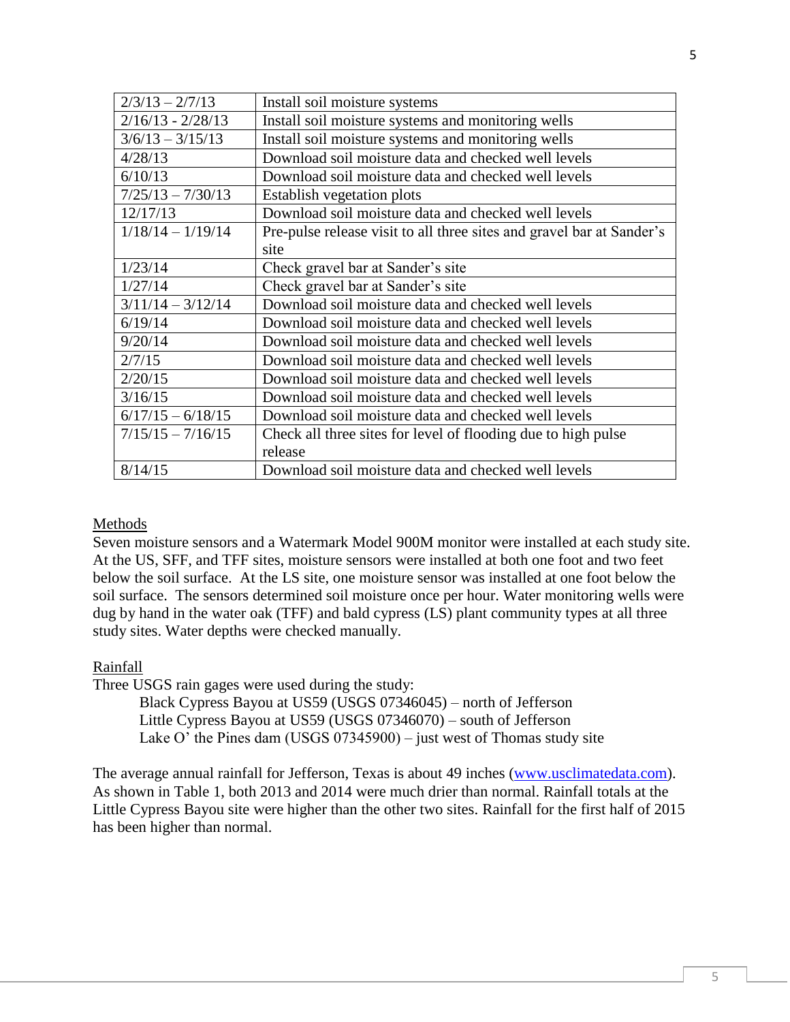| $2/3/13 - 2/7/13$   | Install soil moisture systems                                         |
|---------------------|-----------------------------------------------------------------------|
| $2/16/13 - 2/28/13$ | Install soil moisture systems and monitoring wells                    |
| $3/6/13 - 3/15/13$  | Install soil moisture systems and monitoring wells                    |
| 4/28/13             | Download soil moisture data and checked well levels                   |
| 6/10/13             | Download soil moisture data and checked well levels                   |
| $7/25/13 - 7/30/13$ | Establish vegetation plots                                            |
| 12/17/13            | Download soil moisture data and checked well levels                   |
| $1/18/14 - 1/19/14$ | Pre-pulse release visit to all three sites and gravel bar at Sander's |
|                     | site                                                                  |
| 1/23/14             | Check gravel bar at Sander's site                                     |
| 1/27/14             | Check gravel bar at Sander's site                                     |
| $3/11/14 - 3/12/14$ | Download soil moisture data and checked well levels                   |
| 6/19/14             | Download soil moisture data and checked well levels                   |
| 9/20/14             | Download soil moisture data and checked well levels                   |
| 2/7/15              | Download soil moisture data and checked well levels                   |
| 2/20/15             | Download soil moisture data and checked well levels                   |
| 3/16/15             | Download soil moisture data and checked well levels                   |
| $6/17/15 - 6/18/15$ | Download soil moisture data and checked well levels                   |
| $7/15/15 - 7/16/15$ | Check all three sites for level of flooding due to high pulse         |
|                     | release                                                               |
| 8/14/15             | Download soil moisture data and checked well levels                   |

## Methods

Seven moisture sensors and a Watermark Model 900M monitor were installed at each study site. At the US, SFF, and TFF sites, moisture sensors were installed at both one foot and two feet below the soil surface. At the LS site, one moisture sensor was installed at one foot below the soil surface. The sensors determined soil moisture once per hour. Water monitoring wells were dug by hand in the water oak (TFF) and bald cypress (LS) plant community types at all three study sites. Water depths were checked manually.

#### Rainfall

Three USGS rain gages were used during the study:

Black Cypress Bayou at US59 (USGS 07346045) – north of Jefferson Little Cypress Bayou at US59 (USGS 07346070) – south of Jefferson Lake O' the Pines dam (USGS 07345900) – just west of Thomas study site

The average annual rainfall for Jefferson, Texas is about 49 inches [\(www.usclimatedata.com\)](http://www.usclimatedata.com/). As shown in Table 1, both 2013 and 2014 were much drier than normal. Rainfall totals at the Little Cypress Bayou site were higher than the other two sites. Rainfall for the first half of 2015 has been higher than normal.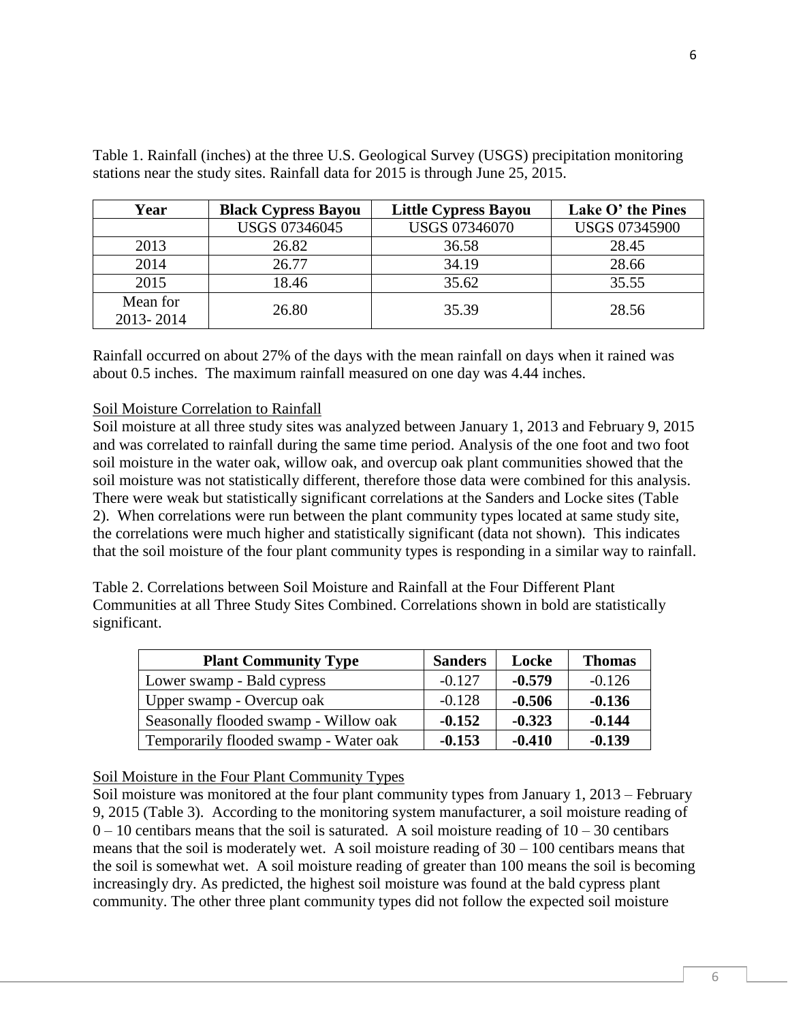| Year                  | <b>Black Cypress Bayou</b> | <b>Little Cypress Bayou</b> | Lake O' the Pines    |
|-----------------------|----------------------------|-----------------------------|----------------------|
|                       | <b>USGS 07346045</b>       | <b>USGS 07346070</b>        | <b>USGS 07345900</b> |
| 2013                  | 26.82                      | 36.58                       | 28.45                |
| 2014                  | 26.77                      | 34.19                       | 28.66                |
| 2015                  | 18.46                      | 35.62                       | 35.55                |
| Mean for<br>2013-2014 | 26.80                      | 35.39                       | 28.56                |

Table 1. Rainfall (inches) at the three U.S. Geological Survey (USGS) precipitation monitoring stations near the study sites. Rainfall data for 2015 is through June 25, 2015.

Rainfall occurred on about 27% of the days with the mean rainfall on days when it rained was about 0.5 inches. The maximum rainfall measured on one day was 4.44 inches.

#### Soil Moisture Correlation to Rainfall

Soil moisture at all three study sites was analyzed between January 1, 2013 and February 9, 2015 and was correlated to rainfall during the same time period. Analysis of the one foot and two foot soil moisture in the water oak, willow oak, and overcup oak plant communities showed that the soil moisture was not statistically different, therefore those data were combined for this analysis. There were weak but statistically significant correlations at the Sanders and Locke sites (Table 2). When correlations were run between the plant community types located at same study site, the correlations were much higher and statistically significant (data not shown). This indicates that the soil moisture of the four plant community types is responding in a similar way to rainfall.

Table 2. Correlations between Soil Moisture and Rainfall at the Four Different Plant Communities at all Three Study Sites Combined. Correlations shown in bold are statistically significant.

| <b>Plant Community Type</b>           | <b>Sanders</b> | Locke    | <b>Thomas</b> |
|---------------------------------------|----------------|----------|---------------|
| Lower swamp - Bald cypress            | $-0.127$       | $-0.579$ | $-0.126$      |
| Upper swamp - Overcup oak             | $-0.128$       | $-0.506$ | $-0.136$      |
| Seasonally flooded swamp - Willow oak | $-0.152$       | $-0.323$ | $-0.144$      |
| Temporarily flooded swamp - Water oak | $-0.153$       | $-0.410$ | $-0.139$      |

## Soil Moisture in the Four Plant Community Types

Soil moisture was monitored at the four plant community types from January 1, 2013 – February 9, 2015 (Table 3). According to the monitoring system manufacturer, a soil moisture reading of  $0 - 10$  centibars means that the soil is saturated. A soil moisture reading of  $10 - 30$  centibars means that the soil is moderately wet. A soil moisture reading of  $30 - 100$  centibars means that the soil is somewhat wet. A soil moisture reading of greater than 100 means the soil is becoming increasingly dry. As predicted, the highest soil moisture was found at the bald cypress plant community. The other three plant community types did not follow the expected soil moisture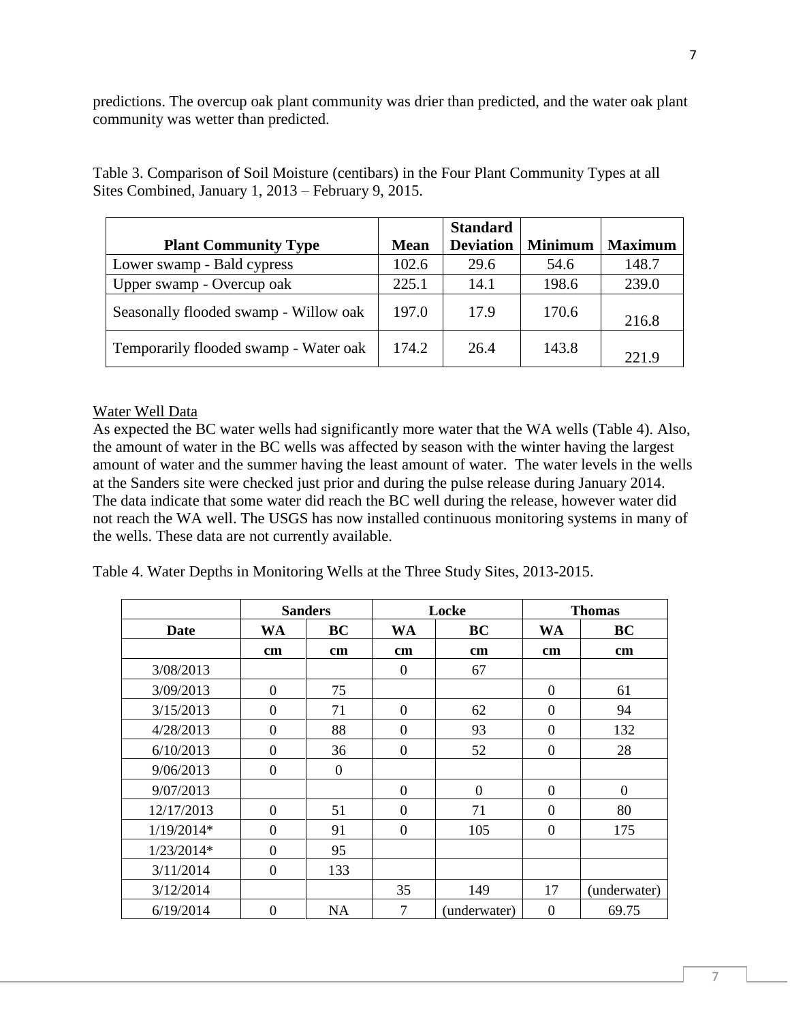predictions. The overcup oak plant community was drier than predicted, and the water oak plant community was wetter than predicted.

|                                       |             | <b>Standard</b>  |                |                |
|---------------------------------------|-------------|------------------|----------------|----------------|
| <b>Plant Community Type</b>           | <b>Mean</b> | <b>Deviation</b> | <b>Minimum</b> | <b>Maximum</b> |
| Lower swamp - Bald cypress            | 102.6       | 29.6             | 54.6           | 148.7          |
| Upper swamp - Overcup oak             | 225.1       | 14.1             | 198.6          | 239.0          |
| Seasonally flooded swamp - Willow oak | 197.0       | 17.9             | 170.6          | 216.8          |
| Temporarily flooded swamp - Water oak | 174.2       | 26.4             | 143.8          | 221.9          |

Table 3. Comparison of Soil Moisture (centibars) in the Four Plant Community Types at all Sites Combined, January 1, 2013 – February 9, 2015.

## Water Well Data

As expected the BC water wells had significantly more water that the WA wells (Table 4). Also, the amount of water in the BC wells was affected by season with the winter having the largest amount of water and the summer having the least amount of water. The water levels in the wells at the Sanders site were checked just prior and during the pulse release during January 2014. The data indicate that some water did reach the BC well during the release, however water did not reach the WA well. The USGS has now installed continuous monitoring systems in many of the wells. These data are not currently available.

Table 4. Water Depths in Monitoring Wells at the Three Study Sites, 2013-2015.

|              |                  | <b>Sanders</b>   |                | Locke          |                  | <b>Thomas</b> |
|--------------|------------------|------------------|----------------|----------------|------------------|---------------|
| Date         | WA               | BC               | <b>WA</b>      | <b>BC</b>      | WA               | BC            |
|              | cm               | cm               | cm             | cm             | $\mathbf{cm}$    | cm            |
| 3/08/2013    |                  |                  | $\Omega$       | 67             |                  |               |
| 3/09/2013    | $\overline{0}$   | 75               |                |                | $\overline{0}$   | 61            |
| 3/15/2013    | $\theta$         | 71               | $\overline{0}$ | 62             | $\overline{0}$   | 94            |
| 4/28/2013    | $\theta$         | 88               | $\overline{0}$ | 93             | $\overline{0}$   | 132           |
| 6/10/2013    | $\boldsymbol{0}$ | 36               | $\mathbf{0}$   | 52             | $\boldsymbol{0}$ | 28            |
| 9/06/2013    | $\boldsymbol{0}$ | $\boldsymbol{0}$ |                |                |                  |               |
| 9/07/2013    |                  |                  | $\overline{0}$ | $\overline{0}$ | $\overline{0}$   | $\theta$      |
| 12/17/2013   | $\overline{0}$   | 51               | $\Omega$       | 71             | $\overline{0}$   | 80            |
| $1/19/2014*$ | $\theta$         | 91               | $\overline{0}$ | 105            | $\overline{0}$   | 175           |
| $1/23/2014*$ | $\theta$         | 95               |                |                |                  |               |
| 3/11/2014    | $\overline{0}$   | 133              |                |                |                  |               |
| 3/12/2014    |                  |                  | 35             | 149            | 17               | (underwater)  |
| 6/19/2014    | $\overline{0}$   | <b>NA</b>        | $\overline{7}$ | (underwater)   | $\overline{0}$   | 69.75         |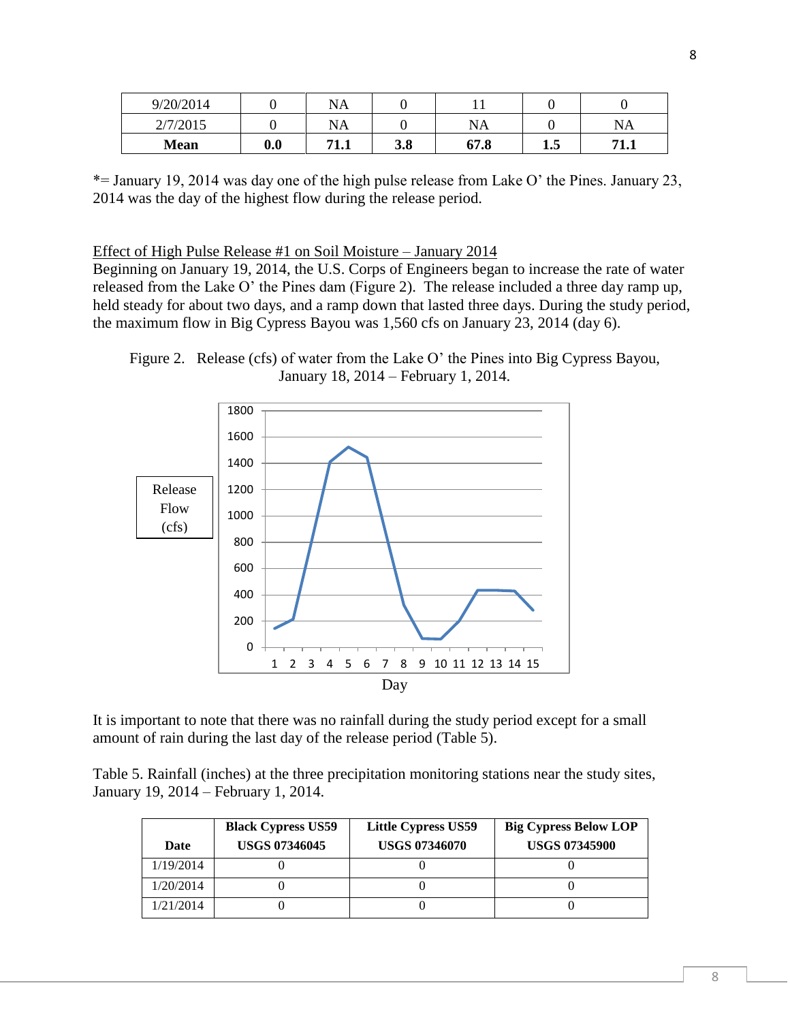| 9/20/2014   |     | NA            |     |      |                       |             |
|-------------|-----|---------------|-----|------|-----------------------|-------------|
| 2/7/2015    |     | NA            |     | NA   |                       | NA          |
| <b>Mean</b> | 0.0 | 71 1<br>' 1.L | 3.8 | 67.8 | $\blacksquare$<br>1.J | 71<br>' 1.L |

\*= January 19, 2014 was day one of the high pulse release from Lake O' the Pines. January 23, 2014 was the day of the highest flow during the release period.

#### Effect of High Pulse Release #1 on Soil Moisture – January 2014

Beginning on January 19, 2014, the U.S. Corps of Engineers began to increase the rate of water released from the Lake O' the Pines dam (Figure 2). The release included a three day ramp up, held steady for about two days, and a ramp down that lasted three days. During the study period, the maximum flow in Big Cypress Bayou was 1,560 cfs on January 23, 2014 (day 6).

Figure 2. Release (cfs) of water from the Lake O' the Pines into Big Cypress Bayou, January 18, 2014 – February 1, 2014.



It is important to note that there was no rainfall during the study period except for a small amount of rain during the last day of the release period (Table 5).

Table 5. Rainfall (inches) at the three precipitation monitoring stations near the study sites, January 19, 2014 – February 1, 2014.

| Date      | <b>Black Cypress US59</b><br><b>USGS 07346045</b> | <b>Little Cypress US59</b><br><b>USGS 07346070</b> | <b>Big Cypress Below LOP</b><br><b>USGS 07345900</b> |
|-----------|---------------------------------------------------|----------------------------------------------------|------------------------------------------------------|
| 1/19/2014 |                                                   |                                                    |                                                      |
| 1/20/2014 |                                                   |                                                    |                                                      |
| 1/21/2014 |                                                   |                                                    |                                                      |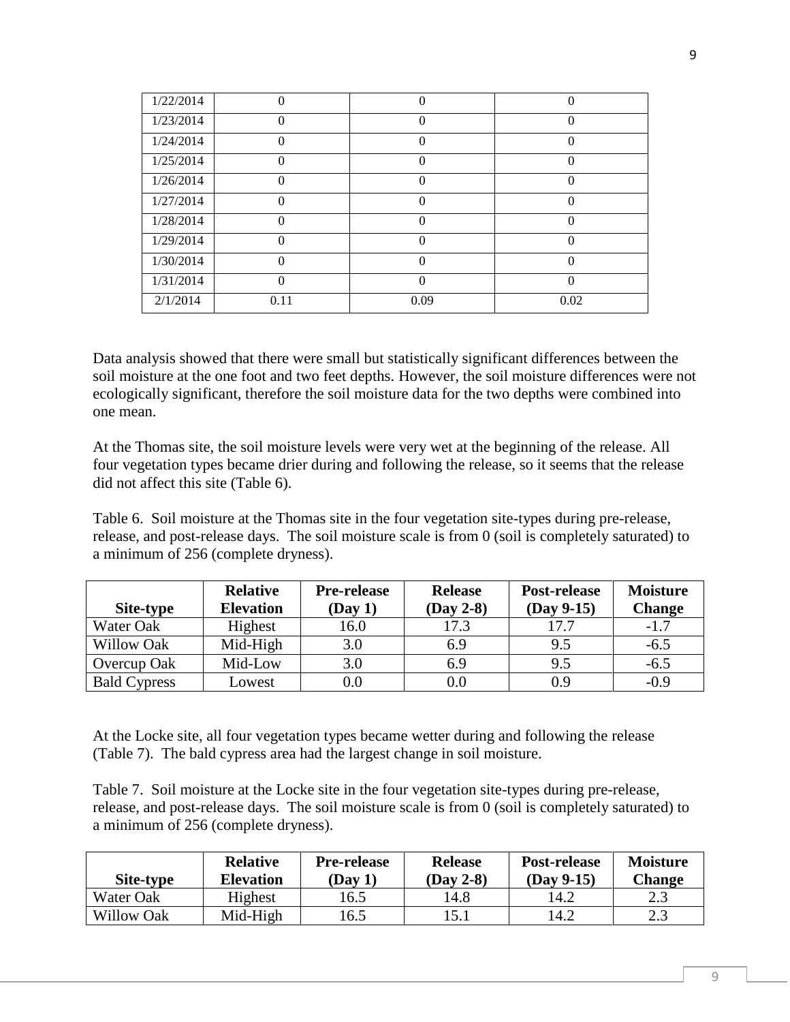| 1/22/2014 | $\Omega$     |          | 0        |
|-----------|--------------|----------|----------|
| 1/23/2014 | $\theta$     |          | 0        |
| 1/24/2014 | $\Omega$     | ∩        | 0        |
| 1/25/2014 | $\mathbf{0}$ | $\Omega$ | 0        |
| 1/26/2014 | $\Omega$     |          | 0        |
| 1/27/2014 | $\Omega$     | ∩        | $\theta$ |
| 1/28/2014 | $\theta$     | 0        | 0        |
| 1/29/2014 | $\Omega$     |          | 0        |
| 1/30/2014 | $\Omega$     | 0        | 0        |
| 1/31/2014 | $\theta$     |          | 0        |
| 2/1/2014  | 0.11         | 0.09     | 0.02     |

Data analysis showed that there were small but statistically significant differences between the soil moisture at the one foot and two feet depths. However, the soil moisture differences were not ecologically significant, therefore the soil moisture data for the two depths were combined into one mean.

At the Thomas site, the soil moisture levels were very wet at the beginning of the release. All four vegetation types became drier during and following the release, so it seems that the release did not affect this site (Table 6).

Table 6. Soil moisture at the Thomas site in the four vegetation site-types during pre-release, release, and post-release days. The soil moisture scale is from 0 (soil is completely saturated) to a minimum of 256 (complete dryness).

|                     | <b>Relative</b>  | <b>Pre-release</b> | <b>Release</b> | Post-release | <b>Moisture</b> |
|---------------------|------------------|--------------------|----------------|--------------|-----------------|
| Site-type           | <b>Elevation</b> | (Day 1)            | $(Day 2-8)$    | $(Day 9-15)$ | <b>Change</b>   |
| Water Oak           | Highest          | 16.0               | 17.3           | 17.7         | $-1.7$          |
| <b>Willow Oak</b>   | Mid-High         | 3.0                | 6.9            | 9.5          | $-6.5$          |
| Overcup Oak         | Mid-Low          | 3.0                | 6.9            | 9.5          | $-6.5$          |
| <b>Bald Cypress</b> | Lowest           | $0.0\,$            | 0.0            | 0.9          | $-0.9$          |

At the Locke site, all four vegetation types became wetter during and following the release (Table 7). The bald cypress area had the largest change in soil moisture.

Table 7. Soil moisture at the Locke site in the four vegetation site-types during pre-release, release, and post-release days. The soil moisture scale is from 0 (soil is completely saturated) to a minimum of 256 (complete dryness).

| Site-type         | <b>Relative</b><br>Elevation | <b>Pre-release</b><br>(Day 1) | <b>Release</b><br>(Day 2-8) | <b>Post-release</b><br>(Day 9-15) | <b>Moisture</b><br><b>Change</b> |
|-------------------|------------------------------|-------------------------------|-----------------------------|-----------------------------------|----------------------------------|
| Water Oak         | Highest                      | 16.5                          | 14.8                        | 14.2                              |                                  |
| <b>Willow Oak</b> | Mid-High                     | 16.5                          | 15.1                        | 14.2                              | 2.3                              |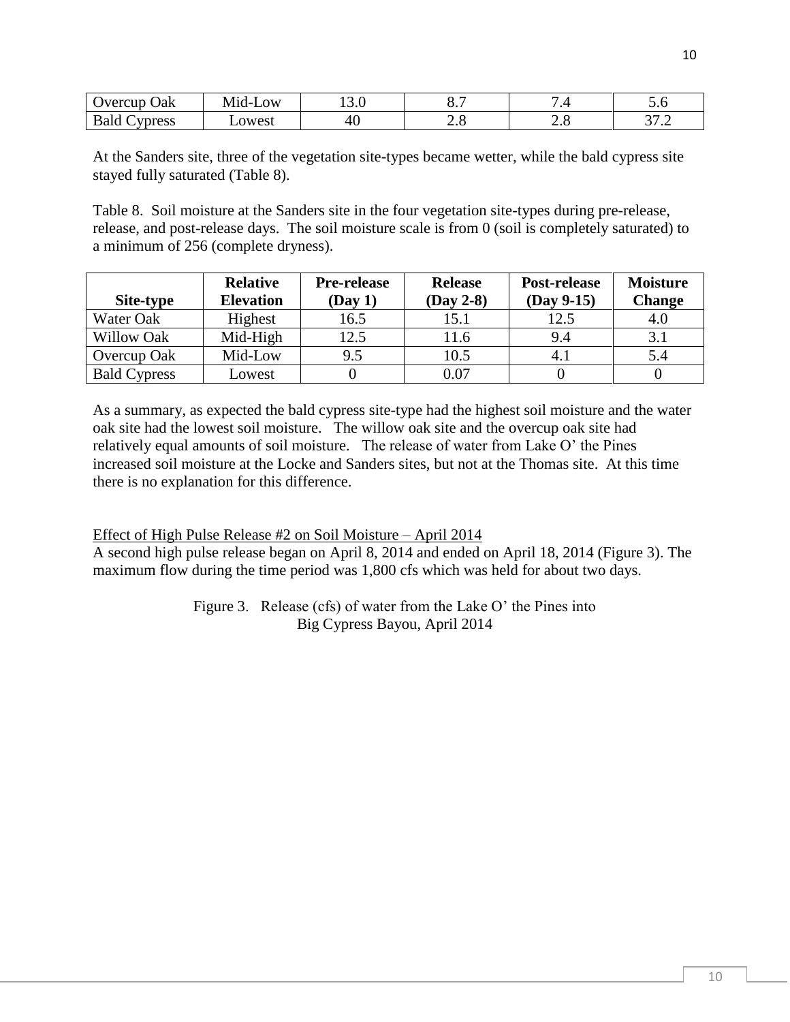| Oak<br>vercup                              | $\Omega$ W<br>ה-ח'<br>N/I | 1 J . V | v.,                      |                  | ັ∙                                     |
|--------------------------------------------|---------------------------|---------|--------------------------|------------------|----------------------------------------|
| Polo<br>unrecc<br>วwest<br>Dalu<br>-טכשוני |                           | 40      | $\overline{\phantom{a}}$ | $\sim$ . $\circ$ | $\sim$ $\sim$ $\sim$<br>$\cdot$ $\sim$ |

At the Sanders site, three of the vegetation site-types became wetter, while the bald cypress site stayed fully saturated (Table 8).

Table 8. Soil moisture at the Sanders site in the four vegetation site-types during pre-release, release, and post-release days. The soil moisture scale is from 0 (soil is completely saturated) to a minimum of 256 (complete dryness).

| Site-type           | <b>Relative</b><br><b>Elevation</b> | <b>Pre-release</b><br>(Day 1) | <b>Release</b><br>$(Day 2-8)$ | Post-release<br>$(Day 9-15)$ | <b>Moisture</b><br><b>Change</b> |
|---------------------|-------------------------------------|-------------------------------|-------------------------------|------------------------------|----------------------------------|
| Water Oak           | Highest                             | 16.5                          | 15.1                          | 12.5                         | 4.0                              |
| <b>Willow Oak</b>   | Mid-High                            | 12.5                          | 11.6                          | 9.4                          | 3.1                              |
| Overcup Oak         | Mid-Low                             | 9.5                           | 10.5                          | 4.                           | 5.4                              |
| <b>Bald Cypress</b> | Lowest                              |                               | 0.07                          |                              |                                  |

As a summary, as expected the bald cypress site-type had the highest soil moisture and the water oak site had the lowest soil moisture. The willow oak site and the overcup oak site had relatively equal amounts of soil moisture. The release of water from Lake O' the Pines increased soil moisture at the Locke and Sanders sites, but not at the Thomas site. At this time there is no explanation for this difference.

## Effect of High Pulse Release #2 on Soil Moisture – April 2014

A second high pulse release began on April 8, 2014 and ended on April 18, 2014 (Figure 3). The maximum flow during the time period was 1,800 cfs which was held for about two days.

> Figure 3. Release (cfs) of water from the Lake O' the Pines into Big Cypress Bayou, April 2014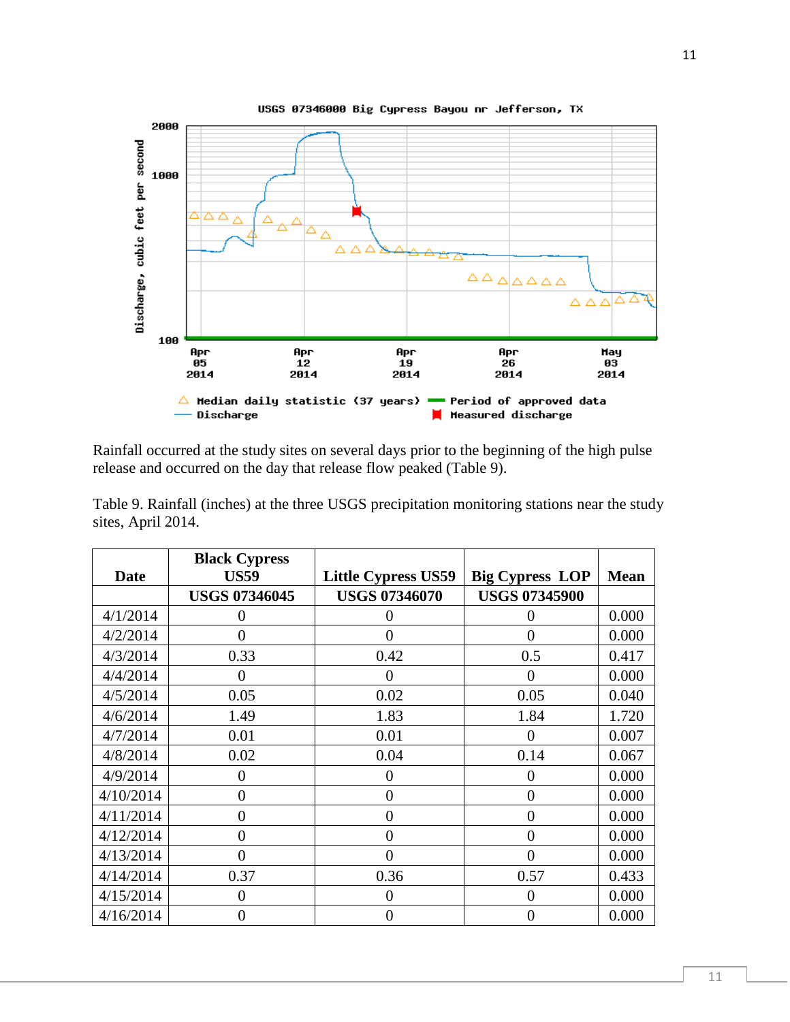

Rainfall occurred at the study sites on several days prior to the beginning of the high pulse release and occurred on the day that release flow peaked (Table 9).

|                    |  | Table 9. Rainfall (inches) at the three USGS precipitation monitoring stations near the study |  |  |
|--------------------|--|-----------------------------------------------------------------------------------------------|--|--|
| sites, April 2014. |  |                                                                                               |  |  |

| Date      | <b>Black Cypress</b><br><b>US59</b> | <b>Little Cypress US59</b> | <b>Big Cypress LOP</b> | <b>Mean</b> |
|-----------|-------------------------------------|----------------------------|------------------------|-------------|
|           | <b>USGS 07346045</b>                | <b>USGS 07346070</b>       | <b>USGS 07345900</b>   |             |
| 4/1/2014  | $\mathbf{\Omega}$                   | 0                          | $\theta$               | 0.000       |
| 4/2/2014  | 0                                   | $\theta$                   | $\theta$               | 0.000       |
| 4/3/2014  | 0.33                                | 0.42                       | 0.5                    | 0.417       |
| 4/4/2014  | $\theta$                            | 0                          | $\theta$               | 0.000       |
| 4/5/2014  | 0.05                                | 0.02                       | 0.05                   | 0.040       |
| 4/6/2014  | 1.49                                | 1.83                       | 1.84                   | 1.720       |
| 4/7/2014  | 0.01                                | 0.01                       | 0                      | 0.007       |
| 4/8/2014  | 0.02                                | 0.04                       | 0.14                   | 0.067       |
| 4/9/2014  | 0                                   | 0                          | $\overline{0}$         | 0.000       |
| 4/10/2014 | 0                                   | $\overline{0}$             | $\overline{0}$         | 0.000       |
| 4/11/2014 | $\theta$                            | $\theta$                   | $\overline{0}$         | 0.000       |
| 4/12/2014 | 0                                   | $\theta$                   | $\overline{0}$         | 0.000       |
| 4/13/2014 | $\Omega$                            | $\theta$                   | $\overline{0}$         | 0.000       |
| 4/14/2014 | 0.37                                | 0.36                       | 0.57                   | 0.433       |
| 4/15/2014 | 0                                   | $\Omega$                   | 0                      | 0.000       |
| 4/16/2014 | 0                                   | $\overline{0}$             | $\overline{0}$         | 0.000       |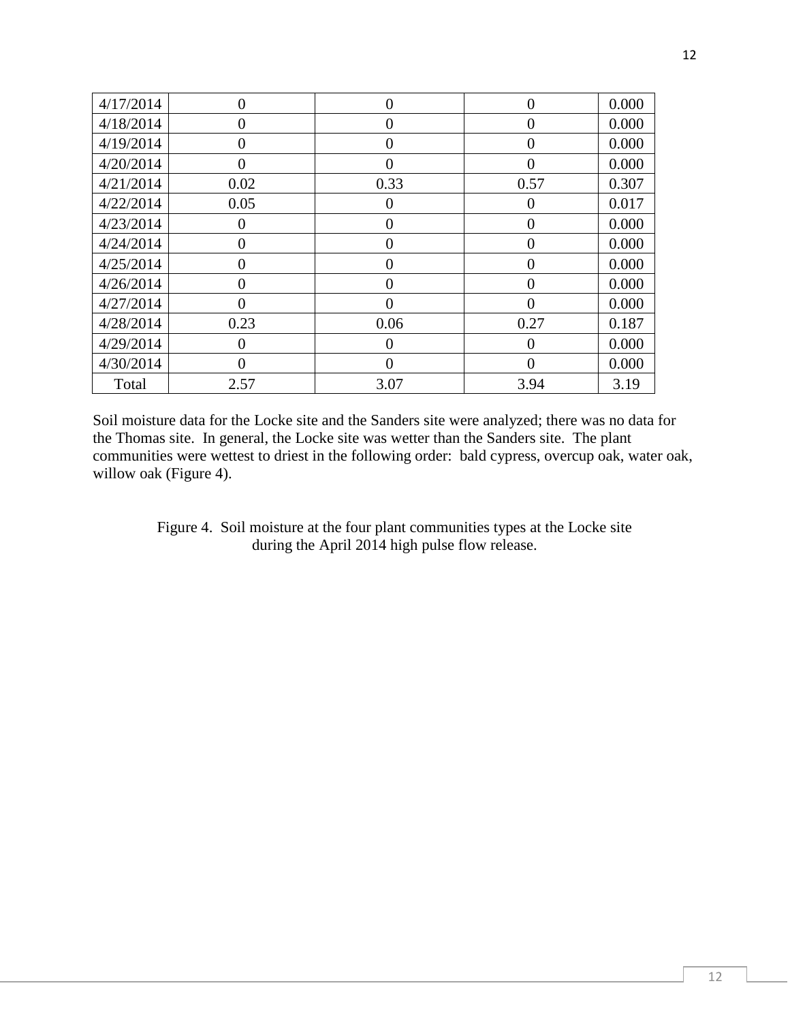| 4/17/2014 | 0            | 0              | $\theta$       | 0.000 |
|-----------|--------------|----------------|----------------|-------|
| 4/18/2014 | 0            | 0              | 0              | 0.000 |
| 4/19/2014 | 0            | 0              | 0              | 0.000 |
| 4/20/2014 | 0            | 0              | 0              | 0.000 |
| 4/21/2014 | 0.02         | 0.33           | 0.57           | 0.307 |
| 4/22/2014 | 0.05         | 0              | $\theta$       | 0.017 |
| 4/23/2014 | $\mathbf{0}$ | $\Omega$       | $\theta$       | 0.000 |
| 4/24/2014 | 0            | $\overline{0}$ | $\overline{0}$ | 0.000 |
| 4/25/2014 | 0            | 0              | 0              | 0.000 |
| 4/26/2014 | 0            | $\overline{0}$ | $\overline{0}$ | 0.000 |
| 4/27/2014 | 0            | 0              | $\theta$       | 0.000 |
| 4/28/2014 | 0.23         | 0.06           | 0.27           | 0.187 |
| 4/29/2014 | 0            | $\Omega$       | $\Omega$       | 0.000 |
| 4/30/2014 | 0            | 0              | 0              | 0.000 |
| Total     | 2.57         | 3.07           | 3.94           | 3.19  |

Soil moisture data for the Locke site and the Sanders site were analyzed; there was no data for the Thomas site. In general, the Locke site was wetter than the Sanders site. The plant communities were wettest to driest in the following order: bald cypress, overcup oak, water oak, willow oak (Figure 4).

> Figure 4. Soil moisture at the four plant communities types at the Locke site during the April 2014 high pulse flow release.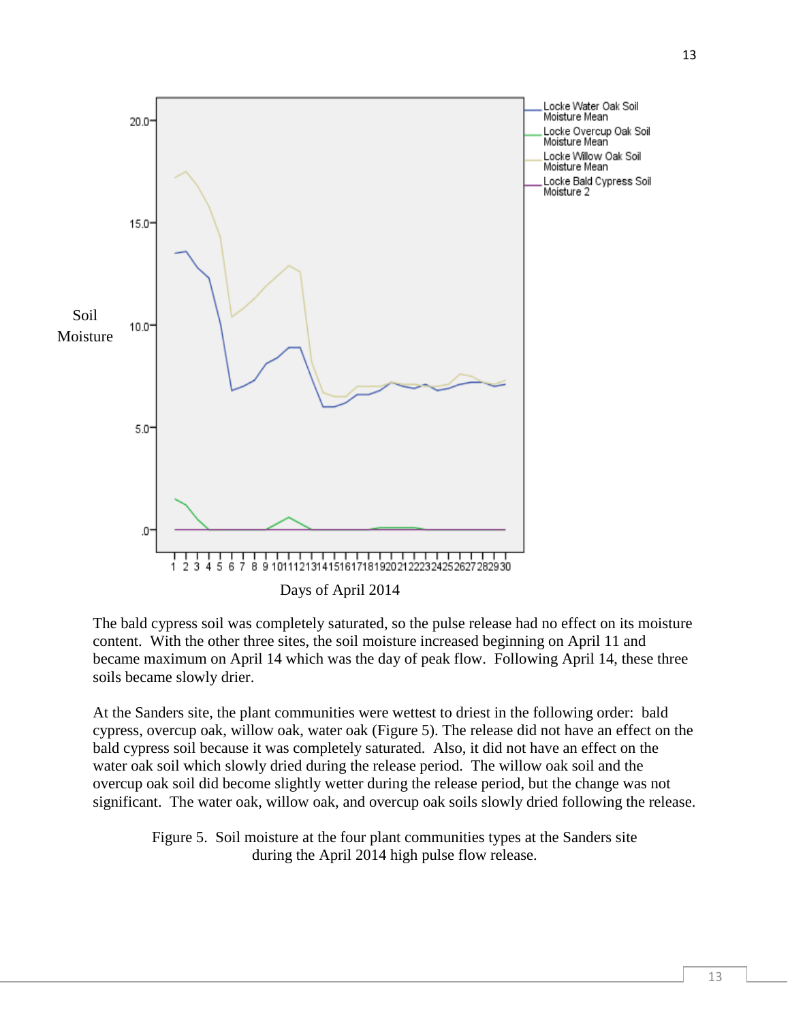

The bald cypress soil was completely saturated, so the pulse release had no effect on its moisture content. With the other three sites, the soil moisture increased beginning on April 11 and became maximum on April 14 which was the day of peak flow. Following April 14, these three soils became slowly drier.

At the Sanders site, the plant communities were wettest to driest in the following order: bald cypress, overcup oak, willow oak, water oak (Figure 5). The release did not have an effect on the bald cypress soil because it was completely saturated. Also, it did not have an effect on the water oak soil which slowly dried during the release period. The willow oak soil and the overcup oak soil did become slightly wetter during the release period, but the change was not significant. The water oak, willow oak, and overcup oak soils slowly dried following the release.

Figure 5. Soil moisture at the four plant communities types at the Sanders site during the April 2014 high pulse flow release.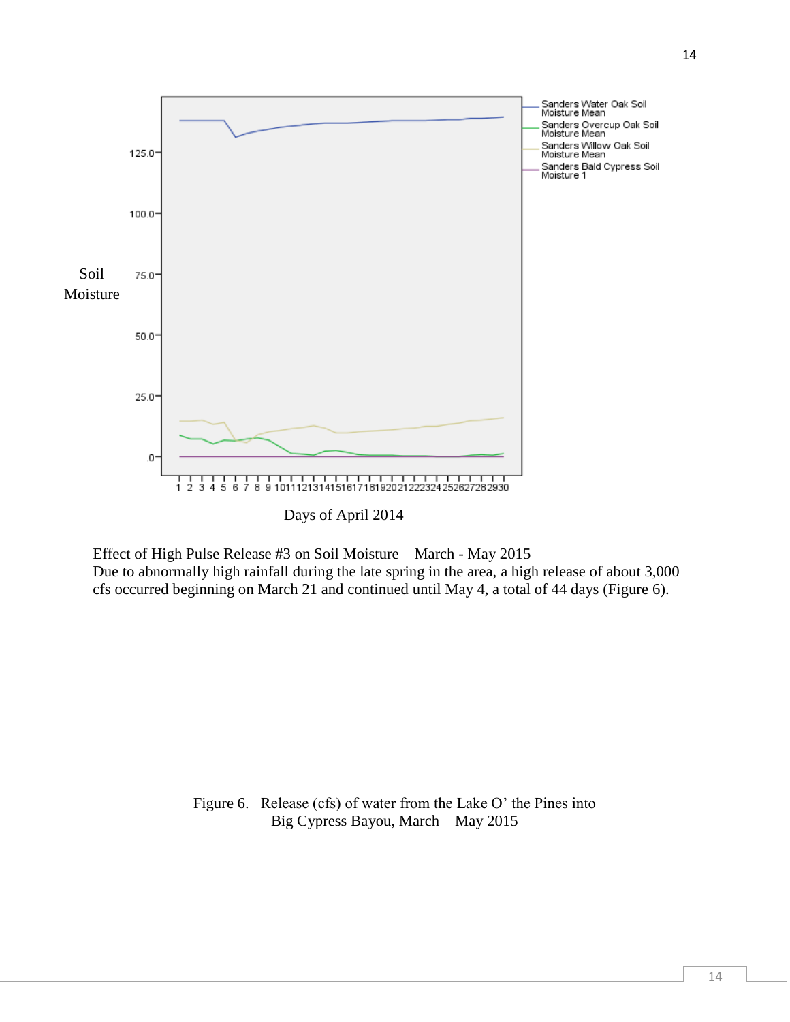

Effect of High Pulse Release #3 on Soil Moisture – March - May 2015

Due to abnormally high rainfall during the late spring in the area, a high release of about 3,000 cfs occurred beginning on March 21 and continued until May 4, a total of 44 days (Figure 6).

> Figure 6. Release (cfs) of water from the Lake O' the Pines into Big Cypress Bayou, March – May 2015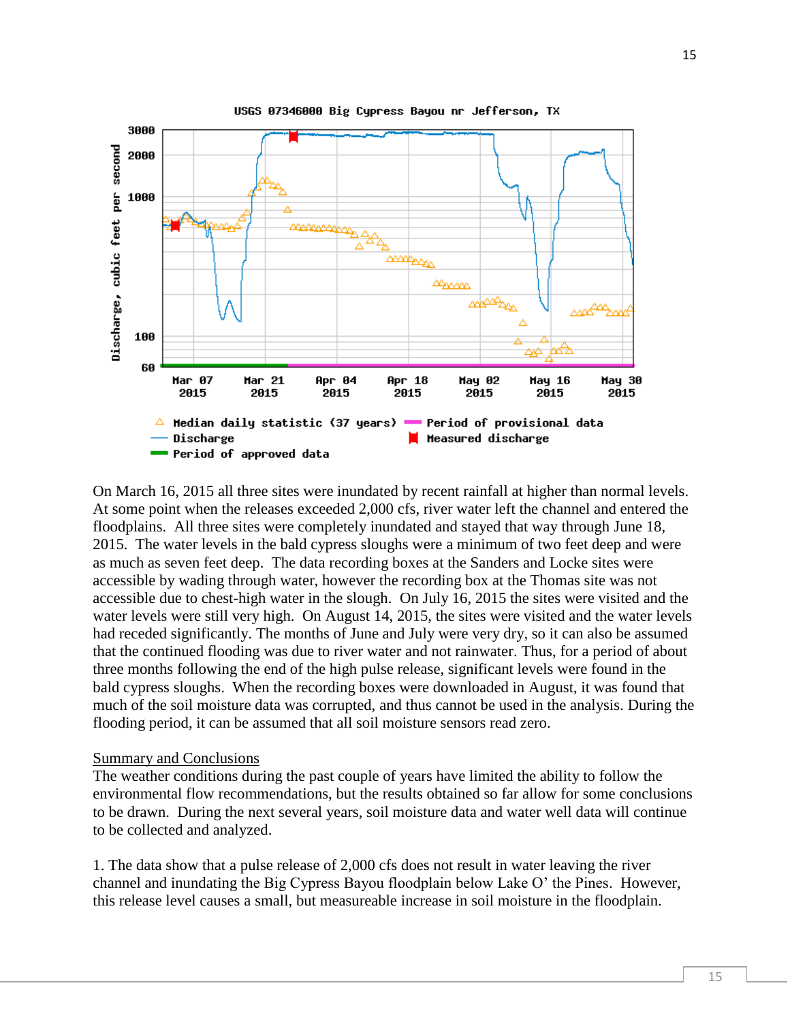

On March 16, 2015 all three sites were inundated by recent rainfall at higher than normal levels. At some point when the releases exceeded 2,000 cfs, river water left the channel and entered the floodplains. All three sites were completely inundated and stayed that way through June 18, 2015. The water levels in the bald cypress sloughs were a minimum of two feet deep and were as much as seven feet deep. The data recording boxes at the Sanders and Locke sites were accessible by wading through water, however the recording box at the Thomas site was not accessible due to chest-high water in the slough. On July 16, 2015 the sites were visited and the water levels were still very high. On August 14, 2015, the sites were visited and the water levels had receded significantly. The months of June and July were very dry, so it can also be assumed that the continued flooding was due to river water and not rainwater. Thus, for a period of about three months following the end of the high pulse release, significant levels were found in the bald cypress sloughs. When the recording boxes were downloaded in August, it was found that much of the soil moisture data was corrupted, and thus cannot be used in the analysis. During the flooding period, it can be assumed that all soil moisture sensors read zero.

#### Summary and Conclusions

The weather conditions during the past couple of years have limited the ability to follow the environmental flow recommendations, but the results obtained so far allow for some conclusions to be drawn. During the next several years, soil moisture data and water well data will continue to be collected and analyzed.

1. The data show that a pulse release of 2,000 cfs does not result in water leaving the river channel and inundating the Big Cypress Bayou floodplain below Lake O' the Pines. However, this release level causes a small, but measureable increase in soil moisture in the floodplain.